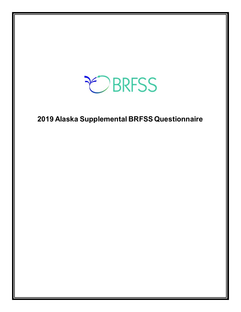

**Alaska Supplemental BRFSS Questionnaire**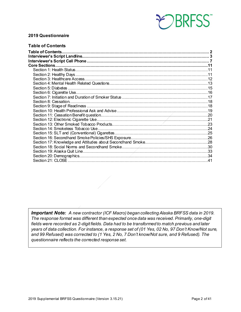

#### **2019 Questionnaire**

#### <span id="page-1-0"></span>**Table of Contents**

*Important Note: A new contractor (ICF Macro) began collecting Alaska BRFSS data in 2019. The response format was different than expected once data was received. Primarily, one-digit fields were recorded as 2-digit fields. Data had to be transformed to match previous and later years of data collection. For instance, a response set of (01 Yes, 02 No, 97 Don't Know/Not sure, and 99 Refused) was corrected to (1 Yes, 2 No, 7 Don't know/Not sure, and 9 Refused). The questionnaire reflects the corrected response set.*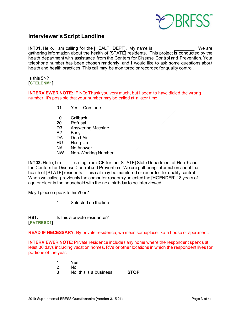

### <span id="page-2-0"></span>**Interviewer's Script Landline**

**INT01.** Hello, I am calling for the [HEALTHDEPT]. My name is \_\_\_\_\_\_\_\_\_\_\_\_\_\_\_. We are gathering information about the health of [STATE] residents. This project is conducted by the health department with assistance from the Centers for Disease Control and Prevention. Your telephone number has been chosen randomly, and I would like to ask some questions about health and health practices. This call may be monitored or recorded for quality control.

Is this \$N? **[CTELENM1]**

**INTERVIEWER NOTE:** IF NO: Thank you very much, but I seem to have dialed the wrong number. It's possible that your number may be called at a later time.

- 01 Yes Continue
- 10 Callback
- 20 Refusal
- D3 Answering Machine<br>B2 Busv
- **Busy**
- DA Dead Air
- HU Hang Up
- NA No Answer
- NW Non-Working Number

**INT02.** Hello, I'm calling from ICF for the [STATE] State Department of Health and the Centers for Disease Control and Prevention. We are gathering information about the health of [STATE] residents. This call may be monitored or recorded for quality control. When we called previously the computer randomly selected the [HGENDER] 18 years of age or older in the household with the next birthday to be interviewed.

May I please speak to him/her?

1 Selected on the line

**HS1.** Is this a private residence? **[PVTRESD1]**

**READ IF NECESSARY**: By private residence, we mean someplace like a house or apartment.

**INTERVIEWER NOTE**: Private residence includes any home where the respondent spends at least 30 days including vacation homes, RVs or other locations in which the respondent lives for portions of the year.

> 1 Yes 2 No 3 No, this is a business **STOP**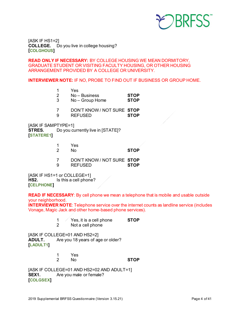

[ASK IF HS1=2] **COLLEGE.** Do you live in college housing? **[COLGHOUS]**

**READ ONLY IF NECESSARY:** BY COLLEGE HOUSING WE MEAN DORMITORY, GRADUATE STUDENT OR VISITING FACULTY HOUSING, OR OTHER HOUSING ARRANGEMENT PROVIDED BY A COLLEGE OR UNIVERSITY.

**INTERVIEWER NOTE:** IF NO, PROBE TO FIND OUT IF BUSINESS OR GROUP HOME.

1 Yes

2 No – Business **STOP**

- $No$  Group Home
- 7 DON'T KNOW / NOT SURE **STOP**
- 9 REFUSED **STOP**

[ASK IF SAMPTYPE=1] **STRES.** Do you currently live in [STATE]? **[STATERE1]**

|    | Yes |             |
|----|-----|-------------|
| -2 | No. | <b>STOP</b> |

7 DON'T KNOW / NOT SURE **STOP**  $REFUSED$ 

[ASK IF HS1=1 or COLLEGE=1] **HS2.** Is this a cell phone? **[CELPHONE]**

**READ IF NECESSARY**: By cell phone we mean a telephone that is mobile and usable outside your neighborhood.

**INTERVIEWER NOTE**: Telephone service over the internet counts as landline service (includes Vonage, Magic Jack and other home-based phone services).

- 1 Yes, it is a cell phone **STOP**
- 2 Not a cell phone

[ASK IF COLLEGE=01 AND HS2=2] **ADULT.** Are you 18 years of age or older? **[LADULT1]**

> 1 Yes  $STOP$

[ASK IF COLLEGE=01 AND HS2=02 AND ADULT=1] **SEX1.** Are you male or female? **[COLGSEX]**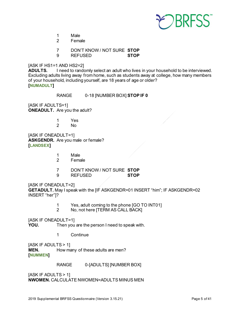

- 1 Male
- 2 Female
- 7 DON'T KNOW / NOT SURE **STOP**
- 9 REFUSED **STOP**

#### [ASK IF HS1=1 AND HS2=2]

**ADULTS.** I need to randomly select an adult who lives in your household to be interviewed. Excluding adults living away from home, such as students away at college, how many members of your household, including yourself, are 18 years of age or older? **[NUMADULT]**

RANGE 0-18 [NUMBER BOX] **STOP IF 0**

[ASK IF ADULTS=1] **ONEADULT.** Are you the adult?

- 1 Yes
- 2 No

[ASK IF ONEADULT=1] **ASKGENDR.** Are you male or female? **[LANDSEX]**

- 1 Male<br>2 Fema
- **Female**
- 7 DON'T KNOW / NOT SURE **STOP**
- $REFUSED$

#### [ASK IF ONEADULT=2]

**GETADULT.** May I speak with the [IF ASKGENDR=01 INSERT "him"; IF ASKGENDR=02 INSERT "her"]?

- 1 Yes, adult coming to the phone [GO TO INT01]<br>2 No. not here ITERM AS CALL BACKI
- No, not here [TERM AS CALL BACK]

[ASK IF ONEADULT=1]

**YOU.** Then you are the person I need to speak with.

1 Continue

[ASK IF ADULTS > 1] **MEN.** How many of these adults are men? **[NUMMEN]**

RANGE 0-[ADULTS] [NUMBER BOX]

[ASK IF ADULTS > 1] **NWOMEN.** CALCULATE NWOMEN=ADULTS MINUS MEN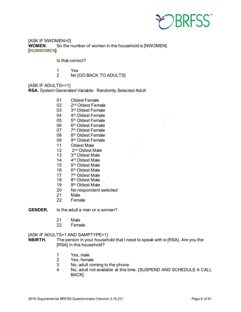

[ASK IF NWOMEN>0] **WOMEN.** So the number of women in the household is [NWOMEN]. **[NUMWOMEN]**

Is that correct?

- 1 Yes<br>2 No M
- No [GO BACK TO ADULTS]

[ASK IF ADULTS>=1] **RSA.** System Generated Variable: Randomly Selected Adult

- 01 Oldest Female
- 02 2nd Oldest Female
- 03 3rd Oldest Female
- 04 4<sup>th</sup> Oldest Female
- 05 5<sup>th</sup> Oldest Female
- 06 6<sup>th</sup> Oldest Female<br>07 7<sup>th</sup> Oldest Female
- 7<sup>th</sup> Oldest Female
- 08 8th Oldest Female
- 09 9<sup>th</sup> Oldest Female<br>11 Oldest Male
- Oldest Male
- 12 2nd Oldest Male
- 13 3rd Oldest Male
- 14 4th Oldest Male
- 15 5th Oldest Male
- 16 6th Oldest Male
- 17  $7<sup>th</sup>$  Oldest Male<br>18  $8<sup>th</sup>$  Oldest Male
- 8<sup>th</sup> Oldest Male
- 19 9<sup>th</sup> Oldest Male
- 20 No respondent selected<br>21 Male
- Male
- 22 Female

#### **GENDER.** Is the adult a man or a woman?

- $21$  Male
- 22 Female

#### [ASK IF ADULTS>1 AND SAMPTYPE=1]

**NBIRTH.** The person in your household that I need to speak with is [RSA]. Are you the [RSA] in this household?

- 1 Yes, male<br>2 Yes. fema
- Yes, female
- 3 No, adult coming to the phone
- 4 No, adult not available at this time. [SUSPEND AND SCHEDULE A CALL BACK]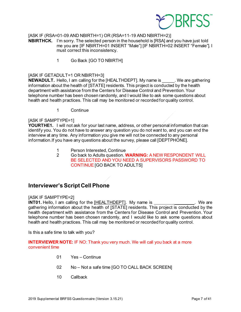

#### [ASK IF (RSA=01-09 AND NBIRTH=1) OR (RSA=11-19 AND NBIRTH=2)]

**NBIRTHCK.** I'm sorry. The selected person in the household is [RSA] and you have just told me you are [IF NBIRTH=01 INSERT "Male"] [IF NBIRTH=02 INSERT "Female"]. I must correct this inconsistency.

1 Go Back [GO TO NBIRTH]

#### [ASK IF GETADULT=1 OR NBIRTH=3]

**NEWADULT.** Hello, I am calling for the [HEALTHDEPT]. My name is We are gathering information about the health of [STATE] residents. This project is conducted by the health department with assistance from the Centers for Disease Control and Prevention. Your telephone number has been chosen randomly, and I would like to ask some questions about health and health practices. This call may be monitored or recorded for quality control.

1 Continue

#### [ASK IF SAMPTYPE=1]

YOURTHE1. I will not ask for your last name, address, or other personal information that can identify you. You do not have to answer any question you do not want to, and you can end the interview at any time. Any information you give me will not be connected to any personal information.If you have any questions about the survey, please call [DEPTPHONE].

- 1 Person Interested, Continue<br>2 Go back to Adults question.
- 2 Go back to Adults question. **WARNING:** A NEW RESPONDENT WILL BE SELECTED AND YOU NEED A SUPERVISORS PASSWORD TO CONTINUE [GO BACK TO ADULTS]

### <span id="page-6-0"></span>**Interviewer's Script Cell Phone**

#### [ASK IF SAMPTYPE=2]

**INT01.** Hello, I am calling for the [HEALTHDEPT]. My name is  $\qquad \qquad$  . We are gathering information about the health of [STATE] residents. This project is conducted by the health department with assistance from the Centers for Disease Control and Prevention. Your telephone number has been chosen randomly, and I would like to ask some questions about health and health practices. This call may be monitored or recorded for quality control.

Is this a safe time to talk with you?

**INTERVIEWER NOTE:** IF NO: Thank you very much. We will call you back at a more convenient time

- 01 Yes Continue
- 02 No Not a safe time [GO TO CALL BACK SCREEN]
- 10 Callback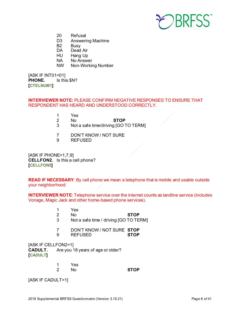

- 20 Refusal
- D3 Answering Machine<br>B2 Busv
- B2 Busy<br>DA Dead
- Dead Air
- HU Hang Up
- NA No Answer
- NW Non-Working Number

[ASK IF INT01=01] **PHONE.** Is this \$N? **[CTELNUM1]**

#### **INTERVIEWER NOTE:** PLEASE CONFIRM NEGATIVE RESPONSES TO ENSURE THAT RESPONDENT HAS HEARD AND UNDERSTOOD CORRECTLY.

- 1 Yes
	- 2 No **STOP**
- 3 Not a safe time/driving [GO TO TERM]
- 7 DON'T KNOW / NOT SURE
- 9 REFUSED

[ASK IF PHONE=1,7,9] **CELLFON2.** Is this a cell phone? **[CELLFON5]**

**READ IF NECESSARY**: By cell phone we mean a telephone that is mobile and usable outside your neighborhood.

**INTERVIEWER NOTE**: Telephone service over the internet counts as landline service (includes Vonage, Magic Jack and other home-based phone services).

- 1 Yes
	- 2 No **STOP**
- $3 \times$  Not a safe time / driving [GO TO TERM]
- 7 DON'T KNOW / NOT SURE **STOP**
- $REFUSED$

[ASK IF CELLFON2=1] **CADULT.** Are you 18 years of age or older? **[CADULT]**

> 1 Yes 2 No **STOP**

[ASK IF CADULT=1]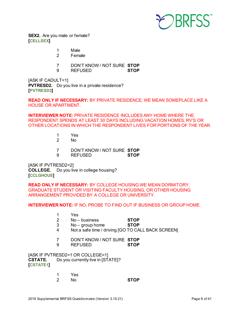

**SEX2.** Are you male or female? **[CELLSEX]**

- 1 Male
- 2 Female
- 7 DON'T KNOW / NOT SURE **STOP**
- 9 REFUSED **STOP**

[ASK IF CADULT=1] **PVTRESD2.** Do you live in a private residence? **[PVTRESD3]**

**READ ONLY IF NECESSARY:** BY PRIVATE RESIDENCE, WE MEAN SOMEPLACE LIKE A HOUSE OR APARTMENT.

**INTERVIEWER NOTE:** PRIVATE RESIDENCE INCLUDES ANY HOME WHERE THE RESPONDENT SPENDS AT LEAST 30 DAYS INCLUDING VACATION HOMES, RV'S OR OTHER LOCATIONS IN WHICH THE RESPONDENT LIVES FOR PORTIONS OF THE YEAR.

- 1 Yes
- No.
- 7 DON'T KNOW / NOT SURE **STOP**
- 9 REFUSED **STOP**

[ASK IF PVTRESD2=2] **COLLEGE.** Do you live in college housing? **[CCLGHOUS]**

**READ ONLY IF NECESSARY:** BY COLLEGE HOUSING WE MEAN DORMITORY, GRADUATE STUDENT OR VISITING FACULTY HOUSING, OR OTHER HOUSING ARRANGEMENT PROVIDED BY A COLLEGE OR UNIVERSITY.

**INTERVIEWER NOTE:** IF NO, PROBE TO FIND OUT IF BUSINESS OR GROUP HOME.

- 1 Yes
- 2 No business **STOP**
- 3 No group home **STOP**
- 4 Not a safe time / driving [GO TO CALL BACK SCREEN]
- 7 DON'T KNOW / NOT SURE **STOP**
- 9 REFUSED **STOP**

[ASK IF PVTRESD2=1 OR COLLEGE=1]<br>CSTATE. Do you currently live in [ST Do you currently live in [STATE]? **[CSTATE1]**

| 1 | Yes |             |
|---|-----|-------------|
| 2 | No  | <b>STOP</b> |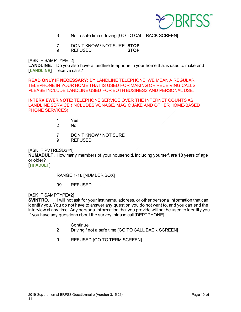

- 3 Not a safe time / driving [GO TO CALL BACK SCREEN]
- 7 DON'T KNOW / NOT SURE **STOP**
- REFUSED

[ASK IF SAMPTYPE=2]

**LANDLINE.** Do you also have a landline telephone in your home that is used to make and **[LANDLINE]** receive calls?

**READ ONLY IF NECESSARY:** BY LANDLINE TELEPHONE, WE MEAN A REGULAR TELEPHONE IN YOUR HOME THAT IS USED FOR MAKING OR RECEIVING CALLS. PLEASE INCLUDE LANDLINE USED FOR BOTH BUSINESS AND PERSONAL USE.

**INTERVIEWER NOTE**: TELEPHONE SERVICE OVER THE INTERNET COUNTS AS LANDLINE SERVICE (INCLUDES VONAGE, MAGIC JAKE AND OTHER HOME-BASED PHONE SERVICES)

- 1 Yes
- 2 No
- 7 DON'T KNOW / NOT SURE
- 9 REFUSED

[ASK IF PVTRESD2=1]

**NUMADULT.** How many members of your household, including yourself, are 18 years of age or older?

**[HHADULT]**

RANGE 1-18 [NUMBER BOX]

99 REFUSED

[ASK IF SAMPTYPE=2]

**SVINTRO.** I will not ask for your last name, address, or other personal information that can identify you. You do not have to answer any question you do not want to, and you can end the interview at any time. Any personal information that you provide will not be used to identify you. If you have any questions about the survey, please call [DEPTPHONE].

- 1 Continue
- 2 Driving / not a safe time [GO TO CALL BACK SCREEN]
- 9 REFUSED [GO TO TERM SCREEN]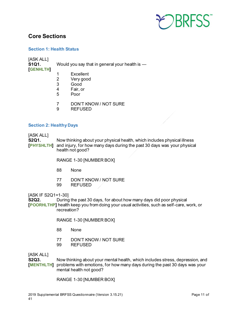

### <span id="page-10-0"></span>**Core Sections**

#### <span id="page-10-1"></span>**Section 1: Health Status**

[ASK ALL]

**[GENHLTH]**

**S1Q1.** Would you say that in general your health is —

- 
- 1 Excellent<br>2 Verv good
- 2 Very good
- 3 Good<br>4 Fair.o Fair, or
- 5 Poor
- 7 DON'T KNOW / NOT SURE<br>9 REEUSED
- 9 REFUSED

#### <span id="page-10-2"></span>**Section 2: Healthy Days**

#### [ASK ALL]

**S2Q1.** Now thinking about your physical health, which includes physical illness **[PHYSHLTH]** and injury, for how many days during the past 30 days was your physical health not good?

RANGE 1-30 [NUMBER BOX]

- 88 None
- 77 DON'T KNOW / NOT SURE
- 99 REFUSED

[ASK IF S2Q1=1-30]<br>**S2Q2.** During

**S2Q2.** During the past 30 days, for about how many days did poor physical **[POORHLTHP]** health keep you from doing your usual activities, such as self-care, work, or recreation?

RANGE 1-30 [NUMBER BOX]

- 88 None
- 77 DON'T KNOW / NOT SURE<br>99 REFUSED
- **REFUSED**

[ASK ALL]

**S2Q3.** Now thinking about your mental health, which includes stress, depression, and **[MENTHLTH]** problems with emotions, for how many days during the past 30 days was your mental health not good?

RANGE 1-30 [NUMBER BOX]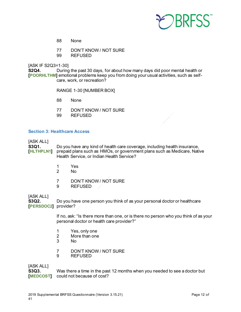

- 88 None
- 77 DON'T KNOW / NOT SURE
- 99 REFUSED

[ASK IF S2Q3=1-30]

**S2Q4.** During the past 30 days, for about how many days did poor mental health or **[POORHLTHM]** emotional problems keep you from doing your usual activities, such as selfcare, work, or recreation?

RANGE 1-30 [NUMBER BOX]

- 88 None
- 77 DON'T KNOW / NOT SURE
- 99 REFUSED

#### <span id="page-11-0"></span>**Section 3: Healthcare Access**

#### [ASK ALL]

**S3Q1.** Do you have any kind of health care coverage, including health insurance, <br> **FHLTHPLN1** prepaid plans such as HMOs, or government plans such as Medicare, Nati prepaid plans such as HMOs, or government plans such as Medicare, Native Health Service, or Indian Health Service?

- 1 Yes
- 2 No
- 7 DON'T KNOW / NOT SURE
- 9 REFUSED

# [ASK ALL]<br>**S3Q2.**

**S3Q2.** Do you have one person you think of as your personal doctor or healthcare **[PERSDOC2]** provider?

> If no, ask: "Is there more than one, or is there no person who you think of as your personal doctor or health care provider?"

- 1 Yes, only one
- 2 More than one<br>3 No
- N<sub>o</sub>
- 7 DON'T KNOW / NOT SURE<br>9 REFUSED
- **REFUSED**

#### [ASK ALL]

**S3Q3.** Was there a time in the past 12 months when you needed to see a doctor but **[MEDCOST]** could not because of cost?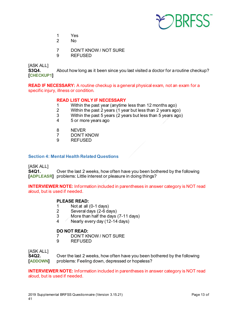

- 1 Yes
- 2 No
- 7 DON'T KNOW / NOT SURE
- 9 REFUSED

[ASK ALL]

**S3Q4.** About how long as it been since you last visited a doctor for a routine checkup? **[CHECKUP1]**

**READ IF NECESSARY:** A routine checkup is a general physical exam, not an exam for a specific injury, illness or condition.

#### **READ LIST ONLY IF NECESSARY**

- 1 Within the past year (anytime less than 12 months ago)<br>2 Within the past 2 years (1 year but less than 2 years ago
- 2 Within the past 2 years (1 year but less than 2 years ago)
- Within the past 5 years (2 years but less than 5 years ago)
- 4 5 or more years ago
- 8 NEVER<br>7 DON'T K
- DON'T KNOW
- 9 REFUSED

#### <span id="page-12-0"></span>**Section 4: Mental Health Related Questions**

[ASK ALL] **S4Q1.** Over the last 2 weeks, how often have you been bothered by the following **[ADPLEASR]** problems: Little interest or pleasure in doing things?

**INTERVIEWER NOTE:** Information included in parentheses in answer category is NOT read aloud, but is used if needed.

### **PLEASE READ:**

- 1 Not at all (0-1 days)<br>2 Several days (2-6 days)
- 2 Several days (2-6 days)
- $3$  More than half the days (7-11 days)<br>4 Nearly every day (12-14 days)
- Nearly every day (12-14 days)

#### **DO NOT READ:**

- 7 DON'T KNOW / NOT SURE<br>9 REFUSED
- 9 REFUSED

# [ASK ALL]<br>**S4Q2**.

**S4Q2.** Over the last 2 weeks, how often have you been bothered by the following <br> **[ADDOWN]** problems: Feeling down, depressed or hopeless? problems: Feeling down, depressed or hopeless?

**INTERVIEWER NOTE:** Information included in parentheses in answer category is NOT read aloud, but is used if needed.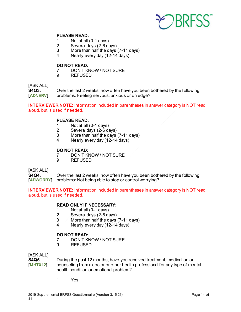

#### **PLEASE READ:**

- 1 Not at all (0-1 days)<br>2 Several davs (2-6 da
- 2 Several days (2-6 days)
- More than half the days (7-11 days)
- 4 Nearly every day (12-14 days)

# **DO NOT READ:**<br>7 DON'T KI

- 7 DON'T KNOW / NOT SURE<br>9 REFUSED
- **REFUSED**

### [ASK ALL]

**S4Q3.** Over the last 2 weeks, how often have you been bothered by the following **[ADNERV]** problems: Feeling nervous, anxious or on edge?

**INTERVIEWER NOTE:** Information included in parentheses in answer category is NOT read aloud, but is used if needed.

#### **PLEASE READ:**

- 1 Not at all (0-1 days)<br>2 Several days (2-6 days)
- 2 Several days (2-6 days)<br>3 More than half the days
- More than half the days (7-11 days)
- 4 Nearly every day (12-14 days)

### **DO NOT READ:**<br> **DON'T KI**

- DON'T KNOW / NOT SURE
- 9 REFUSED

#### [ASK ALL]

**S4Q4.** Over the last 2 weeks, how often have you been bothered by the following **[ADWORRY]** problems: Not being able to stop or control worrying?

**INTERVIEWER NOTE:** Information included in parentheses in answer category is NOT read aloud, but is used if needed.

#### **READ ONLY IF NECESSARY:**

- 1 Not at all (0-1 days)
- 2 Several days (2-6 days)
- $3$  More than half the days (7-11 days)
- 4 Nearly every day (12-14 days)

#### **DO NOT READ:**

- 7 DON'T KNOW / NOT SURE<br>9 REFUSED
- 9 REFUSED

# [ASK ALL]<br>**S4Q5**.

**S4Q5.** During the past 12 months, have you received treatment, medication or<br> **[MHTX12]** counseling from a doctor or other health professional for any type of me **[MHTX12]** counseling from a doctor or other health professional for any type of mental health condition or emotional problem?

1 Yes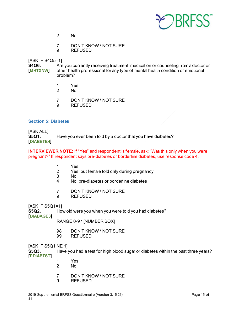

- 2 No
- 7 DON'T KNOW / NOT SURE<br>9 REFUSED
- 9 REFUSED

#### [ASK IF S4Q5=1]

**S4Q6.** Are you currently receiving treatment, medication or counseling from a doctor or<br> **[MHTXNW]** other health professional for any type of mental health condition or emotional other health professional for any type of mental health condition or emotional problem?

- 1 Yes
- No.
- 7 DON'T KNOW / NOT SURE
- 9 REFUSED

#### <span id="page-14-0"></span>**Section 5: Diabetes**

[ASK ALL] **S5Q1.** Have you ever been told by a doctor that you have diabetes? **[DIABETE4]**

#### **INTERVIEWER NOTE:** If "Yes" and respondent is female, ask: "Was this only when you were pregnant?" If respondent says pre-diabetes or borderline diabetes, use response code 4.

- 1 Yes<br>2 Yes.
- 2 Yes, but female told only during pregnancy<br>3 No
- 3 No
- 4 No, pre-diabetes or borderline diabetes
- 7 DON'T KNOW / NOT SURE
- 9 REFUSED

[ASK IF S5Q1=1]

**S5Q2.** How old were you when you were told you had diabetes?

**[DIABAGE3]**

RANGE 0-97 [NUMBER BOX]

- 98 DON'T KNOW / NOT SURE
- 99 REFUSED

[ASK IF S5Q1 NE 1]

**S5Q3.** Have you had a test for high blood sugar or diabetes within the past three years? **[PDIABTST]**

- 1 Yes
	- No.
- 7 DON'T KNOW / NOT SURE
- 9 REFUSED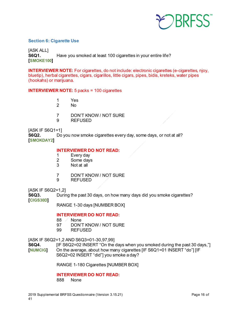

#### <span id="page-15-0"></span>**Section 6: Cigarette Use**

[ASK ALL] **S6Q1.** Have you smoked at least 100 cigarettes in your entire life? **[SMOKE100]**

**INTERVIEWER NOTE:** For cigarettes, do not include: electronic cigarettes (e-cigarettes, njoy, bluetip), herbal cigarettes, cigars, cigarillos, little cigars, pipes, bidis, kreteks, water pipes (hookahs) or marijuana.

#### **INTERVIEWER NOTE:** 5 packs = 100 cigarettes

- 1 Yes
- 2 No
- 7 DON'T KNOW / NOT SURE
- 9 REFUSED

#### [ASK IF S6Q1=1]

**S6Q2.** Do you now smoke cigarettes every day, some days, or not at all? **[SMOKDAY2]**

## **INTERVIEWER DO NOT READ:**

- Every day
- 2 Some days<br>3 Not at all
- Not at all
- 7 DON'T KNOW / NOT SURE<br>9 REFUSED
- **REFUSED**

[ASK IF S6Q2=1,2]

**S6Q3.** During the past 30 days, on how many days did you smoke cigarettes? **[CIGS30D]**

RANGE 1-30 days [NUMBER BOX]

#### **INTERVIEWER DO NOT READ:**

- 88 / None
- 97 DON'T KNOW / NOT SURE
- 99 REFUSED

[ASK IF S6Q2=1,2 AND S6Q3=01-30,97,99]

**S6Q4.** [IF S6Q2=02 INSERT "On the days when you smoked during the past 30 days,"]<br>[**NUMCIG**] On the average, about how many cigarettes [IF S6Q1=01 INSERT "do"] [IF On the average, about how many cigarettes [IF S6Q1=01 INSERT "do"] [IF S6Q2=02 INSERT "did"] you smoke a day?

RANGE 1-180 Cigarettes [NUMBER BOX]

#### **INTERVIEWER DO NOT READ:**

888 None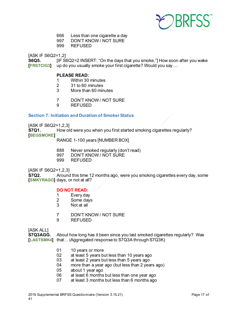

- 666 Less than one cigarette a day
- 997 DON'T KNOW / NOT SURE
- 999 REFUSED

[ASK IF S6Q2=1,2]

**S6Q5. IF S6Q2=2 INSERT: "On the days that you smoke,"] How soon after you wake [FRSTCIG3]** up do you usually smoke your first cigarette? Would you say ...

# **PLEASE READ:**<br>1 Within 30

- 1 Within 30 minutes<br>2 31 to 60 minutes
- 2 31 to 60 minutes
- 3 More than 60 minutes
- 7 DON'T KNOW / NOT SURE
- 9 REFUSED

#### <span id="page-16-0"></span>**Section 7: Initiation and Duration of Smoker Status**

[ASK IF S6Q2=1,2,3]<br>**S7Q1.** How old

How old were you when you first started smoking cigarettes regularly? **[BEGSMOKE]**

RANGE 1-100 years [NUMBER BOX]

- 888 Never smoked regularly (don't read)<br>997 DON'T KNOW / NOT SURE
- DON'T KNOW / NOT SURE
- 999 REFUSED

[ASK IF S6Q2=1,2,3]

**S7Q2.** Around this time 12 months ago, were you smoking cigarettes every day, some **[SMKYRAGO]** days, or not at all?

#### **DO NOT READ:**

- 1 Every day
- 2 Some days
- 3 Not at all
- 7 DON'T KNOW / NOT SURE
- 9 REFUSED

[ASK ALL]<br>**S7Q3AGG. S7Q3AGG.** About how long has it been since you last smoked cigarettes regularly? Was **[LASTSMK4]** that… (Aggregated response to S7Q3A through S7Q3K)

- 01 10 years or more
- 02 at least 5 years but less than 10 years ago<br>03 at least 2 years but less than 5 years ago
- at least 2 years but less than 5 years ago
- 04 more than a year ago (but less than 2 years ago)
- 05 about 1 year ago
- 06 at least 6 months but less than one year ago
- 07 at least 3 months but less than 6 months ago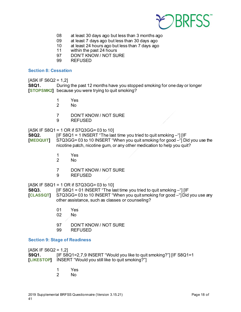

- 08 at least 30 days ago but less than 3 months ago
- 09 at least 7 days ago but less than 30 days ago<br>10 at least 24 hours ago but less than 7 days ago
- 10 at least 24 hours ago but less than 7 days ago<br>11 within the past 24 hours
- within the past 24 hours
- 97 DON'T KNOW / NOT SURE
- 99 REFUSED

#### <span id="page-17-0"></span>**Section 8: Cessation**

 $[ASK IF S6Q2 = 1,2]$ 

**S8Q1.** During the past 12 months have you stopped smoking for one day or longer **[STOPSMK2]** because you were trying to quit smoking?

- 1 Yes
- 2 No
- 7 DON'T KNOW / NOT SURE
- 9 REFUSED

[ASK IF S8Q1 = 1 OR if S7Q3GG= 03 to 10]

**S8Q2. [IF S8Q1 = 1 INSERT "The last time you tried to quit smoking –"] [IF [MEDQUIT]** S7Q3GG= 03 to 10 INSERT "When you quit smoking for good –"] Did you use the nicotine patch, nicotine gum, or any other medication to help you quit?

- 1 Yes
- No.
- 7 DON'T KNOW / NOT SURE
- 9 REFUSED

[ASK IF S8Q1 = 1 OR if S7Q3GG= 03 to 10]

**S8Q3.** [IF S8Q1 = 01 INSERT "The last time you tried to quit smoking -"] [IF

- **[CLASSQT]** S7Q3GG= 03 to 10 INSERT "When you quit smoking for good –"] Did you use any other assistance, such as classes or counseling?
	- 01 Yes
	- No.
	- 97 DON'T KNOW / NOT SURE
	- 99 REFUSED

#### <span id="page-17-1"></span>**Section 9: Stage of Readiness**

 $[ASK IF S6Q2 = 1,2]$ **S9Q1.** [IF S8Q1=2,7,9 INSERT "Would you like to quit smoking?"] [IF S8Q1=1 **[LIKESTOP]** INSERT "Would you still like to quit smoking?"]

- 1 Yes<br>2 No
- N<sub>o</sub>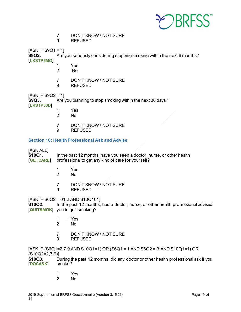

7 DON'T KNOW / NOT SURE

9 REFUSED

 $[ASK IF S9Q1 = 1]$ 

**S9Q2.** Are you seriously considering stopping smoking within the next 6 months?

**[LKSTP6MO]**

- 1 Yes
	- No.
- 7 DON'T KNOW / NOT SURE
- 9 REFUSED

 $[ASK IF S9Q2 = 1]$ <br>**S9Q3.** Are v

Are you planning to stop smoking within the next 30 days?

**[LKSTP30D]**

- 1 Yes
- 2 No
- 7 DON'T KNOW / NOT SURE<br>9 REFUSED
- **REFUSED**

### <span id="page-18-0"></span>**Section 10: Health Professional Ask and Advise**

### [ASK ALL]

**S10Q1.** In the past 12 months, have you seen a doctor, nurse, or other health **[GETCARE]** professional to get any kind of care for yourself? professional to get any kind of care for yourself?

- 1 Yes
	- N<sub>o</sub>
- 7 DON'T KNOW / NOT SURE
- 9 REFUSED

[ASK IF S6Q2 = 01,2 AND S10Q101]

**S10Q2.** In the past 12 months, has a doctor, nurse, or other health professional advised **[QUITSMOK]** you to quit smoking?

- 1 Yes
- 2 No
- 7 DON'T KNOW / NOT SURE<br>9 REFUSED
- **REFUSED**

[ASK IF (S6Q1=2,7,9 AND S10Q1=1) OR (S6Q1 = 1 AND S6Q2 = 3 AND S10Q1=1) OR (S10Q2=2,7,9)]

**S10Q3.** During the past 12 months, did any doctor or other health professional ask if you **IDOCASKI** smoke? **[DOCASK]** 

- 1 Yes
- 2 No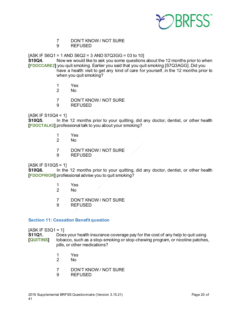

- 7 DON'T KNOW / NOT SURE<br>9 REFUSED
- 9 REFUSED

 $[ASK IF S6Q1 = 1 AND S6Q2 = 3 AND S7Q3GG = 03 to 10]$ 

**S10Q4.** Now we would like to ask you some questions about the 12 months prior to when **[FDOCCARE2]** you quit smoking. Earlier you said that you quit smoking [S7Q3AGG]. Did you have a health visit to get any kind of care for yourself, in the 12 months prior to when you quit smoking?

- 1 Yes<br>2 No
- $N<sub>0</sub>$
- 7 DON'T KNOW / NOT SURE
- 9 REFUSED

 $[ASK IF S10Q4 = 1]$ 

**S10Q5.** In the 12 months prior to your quitting, did any doctor, dentist, or other health **[FDOCTALK2]** professional talk to you about your smoking?

- 1 Yes
- No.
- 7 DON'T KNOW / NOT SURE
- 9 REFUSED

#### $IASK$  IF S10Q5 = 11

**S10Q6.** In the 12 months prior to your quitting, did any doctor, dentist, or other health **[FDOCPRIOR]** professional advise you to quit smoking?

- 1 Yes
- 2 No
- 7 DON'T KNOW / NOT SURE
- 9 REFUSED

#### <span id="page-19-0"></span>**Section 11: Cessation Benefit question**

# $[ASK IF S3Q1 = 1]$ <br>**S11Q1.** Does

Does your health insurance coverage pay for the cost of any help to quit using **[QUITINS]** tobacco, such as a stop-smoking or stop-chewing program, or nicotine patches, pills, or other medications?

- 1 Yes
- N<sub>o</sub>
- 7 DON'T KNOW / NOT SURE
- 9 REFUSED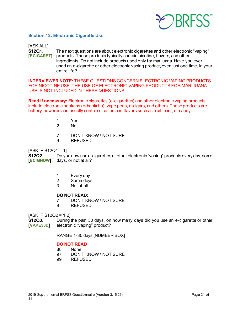

#### <span id="page-20-0"></span>**Section 12: Electronic Cigarette Use**

[ASK ALL] **S12Q1.** The next questions are about electronic cigarettes and other electronic "vaping" **[ECIGARET]** products. These products typically contain nicotine, flavors, and other ingredients. Do not include products used only for marijuana. Have you ever used an e-cigarette or other electronic vaping product, even just one time, in your entire life?

**INTERVIEWER NOTE:** THESE QUESTIONS CONCERN ELECTRONIC VAPING PRODUCTS FOR NICOTINE USE. THE USE OF ELECTRONIC VAPING PRODUCTS FOR MARIJUANA USE IS NOT INCLUDED IN THESE QUESTIONS.

**Read if necessary:** Electronic cigarettes (e-cigarettes) and other electronic vaping products include electronic hookahs (e-hookahs), vape pens, e-cigars, and others. These products are battery-powered and usually contain nicotine and flavors such as fruit, mint, or candy.

- 1 Yes
- No.
- 7 DON'T KNOW / NOT SURE
- 9 REFUSED

#### [ASK IF S12Q1 = 1]

**S12Q2.** Do you now use e-cigarettes or other electronic "vaping" products every day, some<br>**[ECIGNOW]** days, or not at all? days, or not at all?

- 1 Every day<br>2 Some days
- Some days
- 3 Not at all

#### **DO NOT READ:**

- 7 DON'T KNOW / NOT SURE
- 9 REFUSED

 $[ASK]$   $[F S12Q2 = 1.2]$ 

**S12Q3.** During the past 30 days, on how many days did you use an e-cigarette or other **[VAPE30D]** electronic "vaping" product?

RANGE 1-30 days [NUMBER BOX]

# **DO NOT READ**<br>88 None

- **None**
- 97 DON'T KNOW / NOT SURE
- 99 REFUSED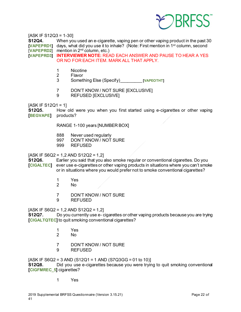

[ASK IF S12Q3 = 1-30]

**S12Q4.** When you used an e-cigarette, vaping pen or other vaping product in the past 30 **[VAPEPRD1]** days, what did you use it to inhale? (Note: First mention in 1<sup>st</sup> column, second [**VAPEPRD2**] mention in 2nd column, etc.)

**[VAPEPRD3] INTERVIEWER NOTE:** READ EACH ANSWER AND PAUSE TO HEAR A YES OR NO FOR EACH ITEM. MARK ALL THAT APPLY.

- 1 Nicotine<br>2 Flavor
- **Flavor**
- 3 Something Else (Specify)\_\_\_\_\_\_\_\_\_ **[VAPEOTHT]**
- 7 DON'T KNOW / NOT SURE [EXCLUSIVE]
- 9 REFUSED [EXCLUSIVE]

 $[ASK IF S12Q1 = 1]$ 

**S12Q5.** How old were you when you first started using e-cigarettes or other vaping **[BEGVAPE]** products?

RANGE 1-100 years [NUMBER BOX]

- 888 Never used regularly
- 997 DON'T KNOW / NOT SURE<br>999 REFUSED
- REFUSED

 $[ASK IF S6Q2 = 1.2 AND S12Q2 = 1.2]$ 

**S12Q6.** Earlier you said that you also smoke regular or conventional cigarettes. Do you **[CIGALTEC]** ever use e-cigarettes or other vaping products in situations where you can't smoke or in situations where you would prefer not to smoke conventional cigarettes?

- 1 Yes
- $No$
- 7 DON'T KNOW / NOT SURE
- 9 REFUSED

 $[ASK IF S6Q2 = 1, 2 AND S12Q2 = 1, 2]$ 

**S12Q7.** Do you currently use e- cigarettes or other vaping products because you are trying **[CIGALTQTEC]** to quit smoking conventional cigarettes?

- 1 Yes
- No.
- 7 DON'T KNOW / NOT SURE
- 9 REFUSED

[ASK IF S6Q2 = 3 AND (S12Q1 = 1 AND (S7Q3GG = 01 to 10)] **S12Q8.** Did you use e-cigarettes because you were trying to quit smoking conventional **[CIGFMREC\_5]** cigarettes?

1 Yes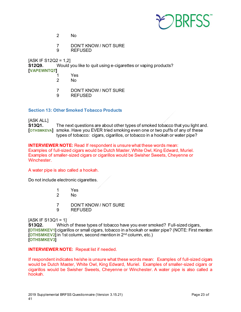

- 2 No
- 7 DON'T KNOW / NOT SURE<br>9 REFUSED
- 9 REFUSED

[ASK IF S12Q2 = 1,2] **S12Q9.** Would you like to quit using e-cigarettes or vaping products? **[VAPEWNTQT]**

- 1 Yes
	- N<sub>o</sub>
- 7 DON'T KNOW / NOT SURE<br>9 REFUSED
- **REFUSED**

### <span id="page-22-0"></span>**Section 13: Other Smoked Tobacco Products**

### [ASK ALL] **S13Q1.** The next questions are about other types of smoked tobacco that you light and. **[OTHSMKEVA]** smoke. Have you EVER tried smoking even one or two puffs of any of these types of tobacco: cigars, cigarillos, or tobacco in a hookah or water pipe?

#### **INTERVIEWER NOTE:** Read If respondent is unsure what these words mean: Examples of full-sized cigars would be Dutch Master, White Owl, King Edward, Muriel. Examples of smaller-sized cigars or cigarillos would be Swisher Sweets, Cheyenne or Winchester.

#### A water pipe is also called a hookah.

Do not include electronic cigarettes.

- 1 Yes
- No
- 7 DON'T KNOW / NOT SURE<br>9 REFUSED
- 9 REFUSED

 $[ASK IF S13Q1 = 1]$ 

**S13Q2.** Which of these types of tobacco have you ever smoked? Full-sized cigars, **[OTHSMKEV1]** cigarillos or small cigars, tobacco in a hookah or water pipe? (NOTE: First mention **[OTHSMKEV2]** in 1st column, second mention in 2<sup>nd</sup> column, etc.) **[OTHSMKEV3]**

**INTERVIEWER NOTE:** Repeat list if needed.

If respondent indicates he/she is unsure what these words mean: Examples of full-sized cigars would be Dutch Master, White Owl, King Edward, Muriel. Examples of smaller-sized cigars or cigarillos would be Swisher Sweets, Cheyenne or Winchester. A water pipe is also called a hookah.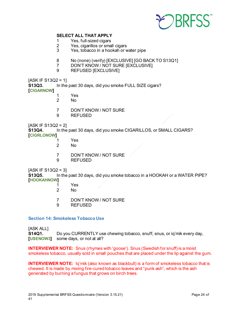

#### **SELECT ALL THAT APPLY**

- 1 Yes, full-sized cigars<br>2 Yes, cigarillos or smal
- 2 Yes, cigarillos or small cigars<br>3 Yes, tobacco in a hookah or w
- Yes, tobacco in a hookah or water pipe
- 8 No (none) (verify) [EXCLUSIVE] [GO BACK TO S13Q1]<br>7 DON'T KNOW / NOT SURE IEXCLUSIVEI
- DON'T KNOW / NOT SURE [EXCLUSIVE]
- 9 REFUSED [EXCLUSIVE]

 $[ASK IF S13Q2 = 1]$ 

**S13Q3.** In the past 30 days, did you smoke FULL SIZE cigars? **[CIGARNOW]**

- 1 Yes
- No.
- 7 DON'T KNOW / NOT SURE
- 9 REFUSED

[ASK IF S13Q2 = 2]<br>**S13Q4.** In the

In the past 30 days, did you smoke CIGARILLOS, or SMALL CIGARS? **[CIGRLONOW]**

- 1 Yes
- No
- 7 DON'T KNOW / NOT SURE
- 9 REFUSED

 $[ASK IF S13Q2 = 3]$ 

**S13Q5.** In the past 30 days, did you smoke tobacco in a HOOKAH or a WATER PIPE? **[HOOKAHNOW]**

- 1 Yes
- 2 No
- 7 DON'T KNOW / NOT SURE
- 9 REFUSED

#### <span id="page-23-0"></span>**Section 14: Smokeless Tobacco Use**

[ASK ALL]

**S14Q1.** Do you CURRENTLY use chewing tobacco, snuff, snus, or iq'mik every day, **[USENOW3]** some days, or not at all?

**INTERVIEWER NOTE:** Snus (rhymes with 'goose'). Snus (Swedish for snuff) is a moist smokeless tobacco, usually sold in small pouches that are placed under the lip against the gum.

**INTERVIEWER NOTE:** Iq'mik (also known as blackbull) is a form of smokeless tobacco that is chewed. It is made by mixing fire-cured tobacco leaves and "punk ash", which is the ash generated by burning a fungus that grows on birch trees.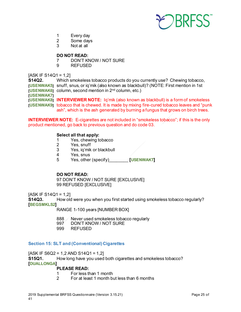

- 1 Every day
- 2 Some days<br>3 Not at all
- Not at all

#### **DO NOT READ:**

- 7 DON'T KNOW / NOT SURE
- 9 REFUSED

 $[ASK IF S14Q1 = 1,2]$ 

**S14Q2.** Which smokeless tobacco products do you currently use? Chewing tobacco, **[USENWAK5]** snuff, snus, or iq'mik (also known as blackbull)? (NOTE: First mention in 1st **[USENWAK6]** column, second mention in 2<sup>nd</sup> column, etc.) **[USENWAK7] [USENWAK8] INTERVIEWER NOTE:** Iq'mik (also known as blackbull) is a form of smokeless **[USENWAK9]** tobacco that is chewed. It is made by mixing fire-cured tobacco leaves and "punk ash", which is the ash generated by burning a fungus that grows on birch trees.

**INTERVIEWER NOTE:** E-cigarettes are not included in "smokeless tobacco"; if this is the only product mentioned, go back to previous question and do code 03.

#### **Select all that apply:**

- 1 Yes, chewing tobacco<br>2 Yes. snuff
- 2 Yes, snuff<br>3 Yes. ia'mik
- 3 Yes, iq'mik or blackbull
- Yes, snus
- 5 Yes, other (specify)\_\_\_\_\_\_\_\_ **[USENWAKT]**

#### **DO NOT READ:**

97 DON'T KNOW / NOT SURE [EXCLUSIVE] 99 REFUSED [EXCLUSIVE]

 $[ASK IF S14Q1 = 1,2]$ 

**S14Q3.** How old were you when you first started using smokeless tobacco regularly? **[BEGSMKLS2]**

RANGE 1-100 years [NUMBER BOX]

- 888 Never used smokeless tobacco regularly<br>997 DON'T KNOW / NOT SURE
- DON'T KNOW / NOT SURE
- 999 REFUSED

#### <span id="page-24-0"></span>**Section 15: SLT and (Conventional) Cigarettes**

 $[ASK IF S6Q2 = 1, 2 AND S14Q1 = 1, 2]$ 

**S15Q1.** How long have you used both cigarettes and smokeless tobacco?

**[DUALLONGA]**

#### **PLEASE READ:**

- 1 For less than 1 month<br>2 For at least 1 month bi
- 2 For at least 1 month but less than 6 months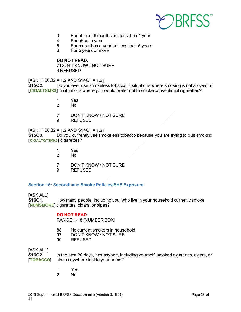

- 3 For at least 6 months but less than 1 year
- 4 For about a year<br>5 For more than a v
- 5 For more than a year but less than 5 years<br>6 For 5 years or more
- For 5 years or more

#### **DO NOT READ:**

7 DON'T KNOW / NOT SURE 9 REFUSED

 $[ASK IF S6Q2 = 1, 2 AND S14Q1 = 1, 2]$ 

**S15Q2.** Do you ever use smokeless tobacco in situations where smoking is not allowed or **[CIGALTSMK3]** in situations where you would prefer not to smoke conventional cigarettes?

- 1 Yes
- 2 No
- 7 DON'T KNOW / NOT SURE
- 9 REFUSED

# [ASK IF S6Q2 = 1,2 AND S14Q1 = 1,2]<br>**S15Q3.** Do you currently use smo

**S15Q3.** Do you currently use smokeless tobacco because you are trying to quit smoking **[CIGALTQTSMK3]** cigarettes?

- 1 Yes
- No.
- 7 DON'T KNOW / NOT SURE
- 9 REFUSED

#### <span id="page-25-0"></span>**Section 16: Secondhand Smoke Policies/SHS Exposure**

[ASK ALL]

**S16Q1.** How many people, including you, who live in your household currently smoke **[NUMSMOKE]** cigarettes, cigars, or pipes?

#### **DO NOT READ**

RANGE 1-18 [NUMBER BOX]

- 88 No current smokers in household<br>97 DON'T KNOW / NOT SURE
- DON'T KNOW / NOT SURE
- 99 REFUSED

[ASK ALL]

**S16Q2.** In the past 30 days, has anyone, including yourself, smoked cigarettes, cigars, or **[TOBACCO]** pipes anywhere inside your home?

- 1 Yes<br>2 No
- N<sub>o</sub>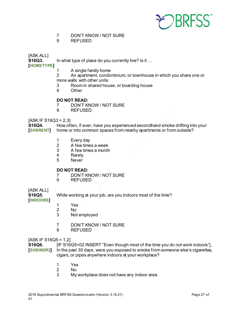

- 7 DON'T KNOW / NOT SURE
- 9 REFUSED

[ASK ALL]

**S16Q3.** In what type of place do you currently live? Is it …

**[HOMETYPE]**

- 
- 1 A single family home<br>2 An apartment. condo An apartment, condominium, or townhouse in which you share one or more walls with other units
- 3 Room in shared house, or boarding house
- 4 Other

#### **DO NOT READ:**

- 7 DON'T KNOW / NOT SURE
- 9 REFUSED

 $[ASK IF S16Q3 = 2,3]$ 

**S16Q4.** How often, if ever, have you experienced secondhand smoke drifting into your<br>**[SHSRENT]** home or into common spaces from nearby apartments or from outside? home or into common spaces from nearby apartments or from outside?

- 1 Every day<br>2 A few time
- 2 A few times a week<br>3 A few times a month
- 3 A few times a month<br>4 Rarely
- 4 Rarely<br>5 Never
- **Never**

# **DO NOT READ:**<br>7 DON'T KN

- 7 DON'T KNOW / NOT SURE<br>9 REFUSED
- 9 REFUSED

### [ASK ALL]

**S16Q5.** While working at your job, are you indoors most of the time?

- **[INDOORS]**
- 1 Yes
- 2 No<br>3 Not
- Not employed
- 7 DON'T KNOW / NOT SURE
- 9 REFUSED

#### $[ASK IF S16Q5 = 1,2]$

**S16Q6.** [IF S16Q5=02 INSERT "Even though most of the time you do not work indoors"], **[SHSINDR2]** In the past 30 days, were you exposed to smoke from someone else's cigarettes, cigars, or pipes anywhere indoors at your workplace?

- 1 Yes
- 2 No
- 3 My workplace does not have any indoor area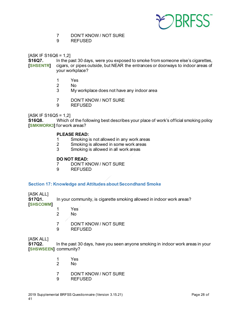

- 7 DON'T KNOW / NOT SURE
- 9 REFUSED

 $[ASK IF S16Q6 = 1,2]$ 

**S16Q7.** In the past 30 days, were you exposed to smoke from someone else's cigarettes,<br>**[SHSENTR]** cigars, or pipes outside, but NEAR the entrances or doorways to indoor areas of **[SHSENTR]** cigars, or pipes outside, but NEAR the entrances or doorways to indoor areas of your workplace?

- 1 Yes<br>2 No
- N<sub>o</sub>
- 3 My workplace does not have any indoor area
- 7 DON'T KNOW / NOT SURE
- 9 REFUSED

 $[ASK IF S16Q5 = 1,2]$ 

**S16Q8.** Which of the following best describes your place of work's official smoking policy **[SMKWORK3]** for work areas?

### **PLEASE READ:**

- 1 Smoking is not allowed in any work areas<br>2 Smoking is allowed in some work areas
- 2 Smoking is allowed in some work areas<br>3 Smoking is allowed in all work areas
- 3 Smoking is allowed in all work areas

#### **DO NOT READ:**

- 7 DON'T KNOW / NOT SURE<br>9 REFUSED
- 9 REFUSED

#### <span id="page-27-0"></span>**Section 17: Knowledge and Attitudes about Secondhand Smoke**

### [ASK ALL]

**S17Q1.** In your community, is cigarette smoking allowed in indoor work areas? **[SHSCOMM]**

- 1 Yes
	- No.
- 7 DON'T KNOW / NOT SURE
- 9 REFUSED

#### [ASK ALL]

**S17Q2.** In the past 30 days, have you seen anyone smoking in indoor work areas in your **[SHSWSEEN]** community?

- 1 Yes
- 2 No
- 7 DON'T KNOW / NOT SURE
- 9 REFUSED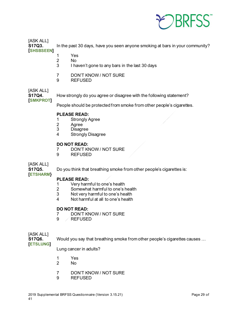

[ASK ALL]

**S17Q3.** In the past 30 days, have you seen anyone smoking at bars in your community? **[SHSBSEEN]**

- 1 Yes
- 2 No
- 3 I haven't gone to any bars in the last 30 days
- 7 DON'T KNOW / NOT SURE
- 9 REFUSED

# [ASK ALL]<br>**S17Q4.**

How strongly do you agree or disagree with the following statement?

**[SMKPROT]**

People should be protected from smoke from other people's cigarettes.

### **PLEASE READ:**

- 1 Strongly Agree<br>2 Agree
- 2 Agree<br>3 Disagre
- **Disagree**
- 4 Strongly Disagree

# **DO NOT READ:**<br>7 DON'T KN

- 7 DON'T KNOW / NOT SURE<br>9 REFUSED
- **REFUSED**

[ASK ALL]

**[ETSHARM}**

**S17Q5.** Do you think that breathing smoke from other people's cigarettes is:

- **PLEASE READ:**<br>1 Very harm 1 Very harmful to one's health<br>2 Somewhat harmful to one's h
- Somewhat harmful to one's health
- 3 Not very harmful to one's health
- 4 Not harmful at all to one's health

#### **DO NOT READ:**

- 7 DON'T KNOW / NOT SURE
- 9 REFUSED

# [ASK ALL]<br>**S17Q6.**

**S17Q6.** Would you say that breathing smoke from other people's cigarettes causes …

**[ETSLUNG]**

Lung cancer in adults?

- 1 Yes
- No.
- 7 DON'T KNOW / NOT SURE
- 9 REFUSED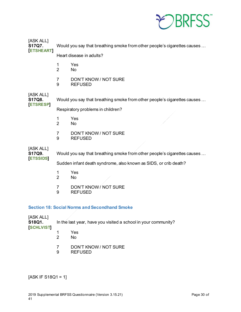

| [ASK ALL]<br>S17Q7.                   |                                                                  | Would you say that breathing smoke from other people's cigarettes causes |  |
|---------------------------------------|------------------------------------------------------------------|--------------------------------------------------------------------------|--|
| <b>ETSHEART</b>                       |                                                                  | Heart disease in adults?                                                 |  |
|                                       | 1<br>$\overline{2}$                                              | Yes<br><b>No</b>                                                         |  |
|                                       | 7<br>9                                                           | DON'T KNOW / NOT SURE<br><b>REFUSED</b>                                  |  |
| [ASK ALL]<br>S17Q8.<br><b>ETSRESP</b> |                                                                  | Would you say that breathing smoke from other people's cigarettes causes |  |
|                                       |                                                                  | Respiratory problems in children?                                        |  |
|                                       | 1<br>$\overline{2}$                                              | Yes<br>No                                                                |  |
|                                       | 7<br>9                                                           | DON'T KNOW / NOT SURE<br><b>REFUSED</b>                                  |  |
| [ASK ALL]<br>S17Q9.                   |                                                                  | Would you say that breathing smoke from other people's cigarettes causes |  |
| <b>ETSSIDS</b>                        | Sudden infant death syndrome, also known as SIDS, or crib death? |                                                                          |  |
|                                       | 1<br>$\overline{2}$                                              | Yes<br>No                                                                |  |
|                                       | 7                                                                | <b>DON'T KNOW/ NOT SURE</b>                                              |  |

9 REFUSED

#### <span id="page-29-0"></span>**Section 18: Social Norms and Secondhand Smoke**

[ASK ALL]<br>**S18Q1**. In the last year, have you visited a school in your community? **[SCHLVIST]** 1 Yes

- 2 No
- 7 DON'T KNOW / NOT SURE<br>9 REFUSED
- **REFUSED**

[ASK IF S18Q1 = 1]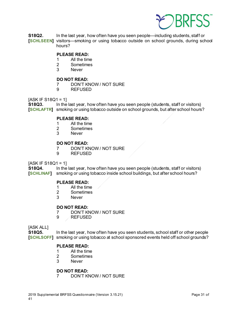

**S18Q2.** In the last year, how often have you seen people—including students, staff or **[SCHLSEEN]** visitors—smoking or using tobacco outside on school grounds, during school hours?

#### **PLEASE READ:**

- 1 All the time
- 2 Sometimes<br>3 Never
- **Never**

#### **DO NOT READ:**

- 7 DON'T KNOW / NOT SURE
- 9 REFUSED

# $[ASK IF S18Q1 = 1]$ <br>**S18Q3.** In the

In the last year, how often have you seen people (students, staff or visitors) **[SCHLAFTR]** smoking or using tobacco outside on school grounds, but after school hours?

# **PLEASE READ:**<br>1 All the tim

- 1 All the time<br>2 Sometimes
- 2 Sometimes<br>3 Never
- **Never**

### **DO NOT READ:**

- 7 DON'T KNOW / NOT SURE
- 9 REFUSED

 $[ASK IF S18Q1 = 1]$ 

**S18Q4.** In the last year, how often have you seen people (students, staff or visitors) **[SCHLINAF]** smoking or using tobacco inside school buildings, but after school hours?

### **PLEASE READ:**

- 1 All the time
- 2 Sometimes<br>3 Never
- **Never**

#### **DO NOT READ:**

- 7 DON'T KNOW / NOT SURE<br>9 REFUSED
- 9 REFUSED

[ASK ALL]

**S18Q5.** In the last year, how often have you seen students, school staff or other people **[SCHLSOFF]** smoking or using tobacco at school sponsored events held off school grounds?

# **PLEASE READ:**<br>1 All the time

- All the time
- 2 Sometimes
- 3 Never

### **DO NOT READ:**

7 DON'T KNOW / NOT SURE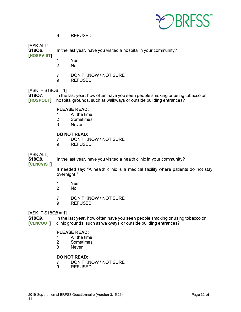

9 REFUSED

# [ASK ALL]<br>**S18Q6.**

In the last year, have you visited a hospital in your community?

**[HOSPVIST]**

- 1 Yes
	- No.
- 7 DON'T KNOW / NOT SURE
- 9 REFUSED

 $[ASK IF S18Q6 = 1]$ <br>**S18Q7.** In the In the last year, how often have you seen people smoking or using tobacco on **[HOSPOUT]** hospital grounds, such as walkways or outside building entrances?

#### **PLEASE READ:**

- 1 All the time<br>2 Sometimes
- 2 Sometimes<br>3 Never
- **Never**

#### **DO NOT READ:**

- 7 DON'T KNOW / NOT SURE
- 9 REFUSED

### [ASK ALL]

**S18Q8.** In the last year, have you visited a health clinic in your community?

**[CLNCVIST]**

If needed say: "A health clinic is a medical facility where patients do not stay overnight."

- 1 Yes
- No
- 7 DON'T KNOW / NOT SURE
- 9 REFUSED

 $[ASK IF S18Q8 = 1]$ 

**S18Q9.** In the last year, how often have you seen people smoking or using tobacco on **[CLNCOUT]** clinic grounds, such as walkways or outside building entrances?

### **PLEASE READ:**

- 1 All the time<br>2 Sometimes
- 2 Sometimes<br>3 Never
- **Never**

#### **DO NOT READ:**

- 7 DON'T KNOW / NOT SURE<br>9 REFUSED
- **REFUSED**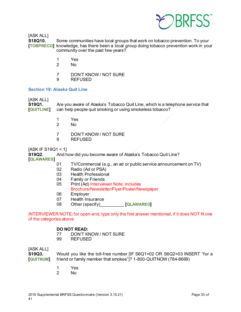

[ASK ALL]

**S18Q10.** Some communities have local groups that work on tobacco prevention. To your **[TOBPRECO]** knowledge, has there been a local group doing tobacco prevention work in your community over the past few years?

- 1 Yes
- 2 No
- 7 DON'T KNOW / NOT SURE<br>9 REFUSED
- **REFUSED**

#### <span id="page-32-0"></span>**Section 19: Alaska Quit Line**

[ASK ALL]<br>**S19Q1**.

**S19Q1.** Are you aware of Alaska's Tobacco Quit Line, which is a telephone service that **[QUITLINE]** can help people quit smoking or using smokeless tobacco?

- 1 Yes
- No
- 7 DON'T KNOW / NOT SURE
- 9 REFUSED

 $[ASK IF S19Q1 = 1]$ 

**S19Q2.** And how did you become aware of Alaska's Tobacco Quit Line?

**[QLAWARES]**

- 01 TV/Commercial (e.g., an ad or public service announcement on TV)<br>02 Radio (Ad or PSA)
- Radio (Ad or PSA)
- 03 Health Professional
- 
- 04 Family or Friends<br>05 Print (Ad) Interviey Print (Ad) Interviewer Note: includes Brochure/Newsletter/Flyer/Poster/Newspaper
- 06 Employer
- 07 Health Insurance
- 08 Other (specify)\_\_\_\_\_\_\_\_\_\_ **[QLAWAREO]**

INTERVIEWER NOTE**:** for open-end, type only the first answer mentioned, if it does NOT fit one of the categories above

#### **DO NOT READ:**

- 77 DON'T KNOW / NOT SURE<br>99 REFUSED
- **REFUSED**

### [ASK ALL]

**S19Q3.** Would you like the toll-free number [IF S6Q1=02 OR S6Q2=03 INSERT "for a **[QUITNUM]** friend or family member that smokes"]? 1-800-QUITNOW (784-8669)

- 1 Yes<br>2 No
- No.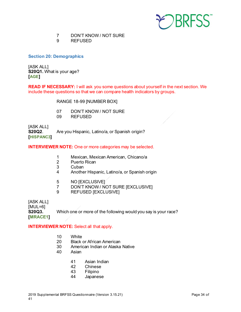

- 7 DON'T KNOW / NOT SURE
- 9 REFUSED

<span id="page-33-0"></span>**Section 20: Demographics**

[ASK ALL] **S20Q1.** What is your age? **[AGE]**

**READ IF NECESSARY:** I will ask you some questions about yourself in the next section. We include these questions so that we can compare health indicators by groups.

RANGE 18-99 [NUMBER BOX]

- 07 DON'T KNOW / NOT SURE
- 09 REFUSED

[ASK ALL] **S20Q2**. Are you Hispanic, Latino/a, or Spanish origin? **[HISPANC3]**

#### **INTERVIEWER NOTE:** One or more categories may be selected.

- 1 Mexican, Mexican American, Chicano/a
- 2 Puerto Rican
- **Cuban**
- 4 Another Hispanic, Latino/a, or Spanish origin
- 5 NO [EXCLUSIVE]<br>7 DON'T KNOW / N
- DON'T KNOW / NOT SURE [EXCLUSIVE]
- 9 REFUSED [EXCLUSIVE]

[ASK ALL]

[MUL=6] **S20Q3.** Which one or more of the following would you say is your race? **[MRACE1]**

### **INTERVIEWER NOTE:** Select all that apply.

- 10 White
- 20 Black or African American
- 30 American Indian or Alaska Native
- 40 Asian
	- 41 Asian Indian<br>42 Chinese
	- **Chinese**
	- 43 Filipino
	- 44 Japanese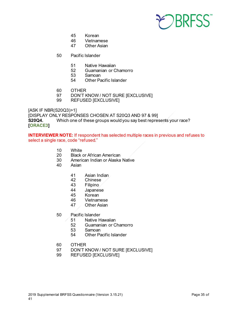

- 45 Korean
- 46 Vietnamese<br>47 Other Asian
- **Other Asian**
- 50 Pacific Islander
	- 51 Native Hawaiian<br>52 Guamanian or C
	- 52 Guamanian or Chamorro<br>53 Samoan
	- Samoan
	- 54 Other Pacific Islander
- 
- 60 OTHER<br>97 DON'T K 97 DON'T KNOW / NOT SURE [EXCLUSIVE]<br>99 REFUSED IEXCLUSIVEI
- REFUSED [EXCLUSIVE]

[ASK IF NBR(S20Q3)>1]

[DISPLAY ONLY RESPONSES CHOSEN AT S20Q3 AND 97 & 99]

**S20Q4.** Which one of these groups would you say best represents your race? **[ORACE3]**

**INTERVIEWER NOTE:** If respondent has selected multiple races in previous and refuses to select a single race, code "refused."

- 10 White
- 20 Black or African American
- 30 American Indian or Alaska Native<br>40 Asian
- **Asian** 
	- 41 Asian Indian<br>42 Chinese
	- **Chinese**
	- 43 Filipino
	- 44 Japanése<br>45 Korean
	- **Korean**
	- 46 Vietnamese
	- 47 Other Asian
- 50 Pacific Islander
	- 51 Native Hawaiian
	- 52 Guamanian or Chamorro
	- 53 Samoan<br>54 Other Pa
	- **Other Pacific Islander**
- 60 OTHER
- 97 DON'T KNOW / NOT SURE [EXCLUSIVE]
- 99 REFUSED [EXCLUSIVE]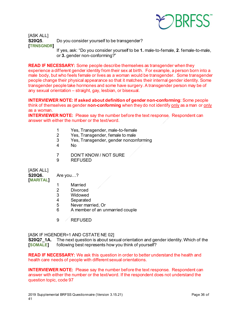

[ASK ALL] **S20Q5**. Do you consider yourself to be transgender? **[TRNSGNDR]** If yes, ask: "Do you consider yourself to be **1.** male-to-female, **2**. female-to-male,

or **3.** gender non-conforming?"

**READ IF NECESSARY:** Some people describe themselves as transgender when they experience a different gender identity from their sex at birth. For example, a person born into a male body, but who feels female or lives as a woman would be transgender. Some transgender people change their physical appearance so that it matches their internal gender identity. Some transgender people take hormones and some have surgery. A transgender person may be of any sexual orientation – straight, gay, lesbian, or bisexual.

**INTERVIEWER NOTE: If asked about definition of gender non-conforming**: Some people think of themselves as gender **non-conforming** when they do not identify only as a man or only as a woman.

**INTERVIEWER NOTE:** Please say the number before the text response. Respondent can answer with either the number or the text/word.

- 1 Yes, Transgender, male-to-female<br>2 Yes, Transgender, female to male
- Yes, Transgender, female to male
- 3 Yes, Transgender, gender nonconforming<br>4 No
- N<sub>o</sub>
- 7 DON'T KNOW / NOT SURE
- 9 REFUSED

[ASK ALL] **S20Q6.** Are you…? **[MARITAL]**

- 1 Married
- 
- 2 Divorced<br>3 Widowed **Widowed**
- 4 Separated
- 
- 5 Never married, Or<br>6 A member of an ur 6 A member of an unmarried couple
- 9 REFUSED

[ASK IF HGENDER=1 AND CSTATE NE 02]

**S20Q7 1A.** The next question is about sexual orientation and gender identity. Which of the **[SOMALE]** following best represents how you think of yourself?

**READ IF NECESSARY:** We ask this question in order to better understand the health and health care needs of people with different sexual orientations.

**INTERVIEWER NOTE:** Please say the number before the text response. Respondent can answer with either the number or the text/word. If the respondent does not understand the question topic, code 97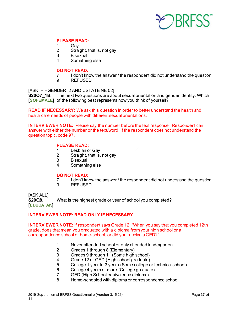

#### **PLEASE READ:**

- 1 Gay<br>2 Strai
- Straight, that is, not gay
- 3 Bisexual
- 4 Something else

# **DO NOT READ:**

- 7 I don't know the answer / the respondent did not understand the question<br>9 REFUSED
- **REFUSED**

#### [ASK IF HGENDER=2 AND CSTATE NE 02]

**S20Q7\_1B.** The next two questions are about sexual orientation and gender identity. Which **[SOFEMALE]** of the following best represents how you think of yourself?

**READ IF NECESSARY:** We ask this question in order to better understand the health and health care needs of people with different sexual orientations.

**INTERVIEWER NOTE:** Please say the number before the text response. Respondent can answer with either the number or the text/word. If the respondent does not understand the question topic, code 97.

#### **PLEASE READ:**

- 1 Lesbian or Gay<br>2 Straight, that is,
- Straight, that is, not gay
- 3 Bisexual<br>4 Somethir
- Something else

# **DO NOT READ:**

- 7 I don't know the answer / the respondent did not understand the question<br>9 REFUSED
- 9 REFUSED

[ASK ALL]

**S20Q8.** What is the highest grade or year of school you completed? **[EDUCA\_AK]**

#### **INTERVIEWER NOTE: READ ONLY IF NECESSARY**

**INTERVIEWER NOTE:** If respondent says Grade 12: "When you say that you completed 12th grade, does that mean you graduated with a diploma from your high school or a correspondence school or home-school, or did you receive a GED?"

- 1 Never attended school or only attended kindergarten<br>2 Grades 1 through 8 (Elementary)
- 2 Grades 1 through 8 (Elementary)<br>3 Grades 9 through 11 (Some high
- 3 Grades 9 through 11 (Some high school)<br>4 Grade 12 or GED (High school graduate)
- 4 Grade 12 or GED (High school graduate)<br>5 College 1 year to 3 years (Some college o
- College 1 year to 3 years (Some college or technical school)
- 6 College 4 years or more (College graduate)<br>7 GED (High School equivalence diploma)
- 7 GED (High School equivalence diploma)
- 8 Home-schooled with diploma or correspondence school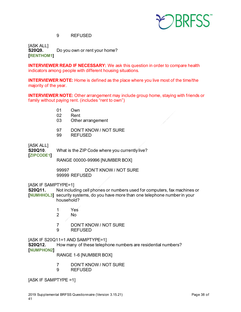

### 9 REFUSED

[ASK ALL]<br>**S20Q9.** Do you own or rent your home? **[RENTHOM1]**

**INTERVIEWER READ IF NECESSARY:** We ask this question in order to compare health indicators among people with different housing situations.

**INTERVIEWER NOTE:** Home is defined as the place where you live most of the time/the majority of the year.

**INTERVIEWER NOTE:** Other arrangement may include group home, staying with friends or family without paying rent. (includes "rent to own")

- 01 Own<br>02 Rent
- **Rent**
- 03 Other arrangement
- 97 DON'T KNOW / NOT SURE
- 99 REFUSED

[ASK ALL]

**S20Q10**. What is the ZIP Code where you currently live?

**[ZIPCODE1]**

RANGE 00000-99996 [NUMBER BOX]

99997 DON'T KNOW / NOT SURE 99999 REFUSED

[ASK IF SAMPTYPE=1]

**S20Q11.** Not including cell phones or numbers used for computers, fax machines or **[NUMHHOL3]** security systems, do you have more than one telephone number in your household?

- 1 Yes
- No
- 7 DON'T KNOW / NOT SURE
- 9 REFUSED

[ASK IF S20Q11=1 AND SAMPTYPE=1]

**S20Q12.** How many of these telephone numbers are residential numbers? **[NUMPHON2]**

RANGE 1-6 [NUMBER BOX]

- 7 DON'T KNOW / NOT SURE
- 9 REFUSED

[ASK IF SAMPTYPE =1]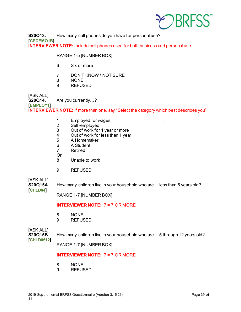

**S20Q13.** How many cell phones do you have for personal use? **[CPDEMO1B] INTERVIEWER NOTE:** Include cell phones used for both business and personal use.

RANGE 1-5 [NUMBER BOX]

- 6 Six or more
- 7 DON'T KNOW / NOT SURE
- 8 NONE
- 9 REFUSED

[ASK ALL]<br>**S20Q14.** Are you currently…? **[EMPLOY1] INTERVIEWER NOTE:** If more than one, say "Select the category which best describes you".

- 1 Employed for wages
- 2 Self-employed<br>3 Out of work for
- 3 Out of work for 1 year or more<br>4 Out of work for less than 1 year
- 4 Out of work for less than 1 year<br>5 A Homemaker
- 5 A Homemaker<br>6 A Student
- A Student
- 7 Retired
- Or
- 8 Unable to work
- 9 REFUSED

[ASK ALL]<br>**S20Q15A.** 

How many children live in your household who are... less than 5 years old?

**[CHLD04]**

RANGE 1-7 [NUMBER BOX]

#### **INTERVIEWER NOTE:** 7 = 7 OR MORE

- 8 NONE
- 9 / REFUSED

[ASK ALL]<br>**S20Q15B. [CHLD0512]**

How many children live in your household who are... 5 through 12 years old?

RANGE 1-7 [NUMBER BOX]

#### **INTERVIEWER NOTE:** 7 = 7 OR MORE

- 8 NONE
- 9 REFUSED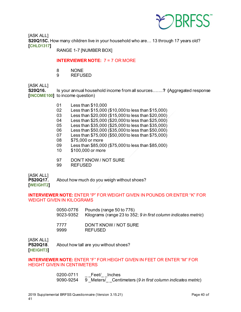

[ASK ALL] **S20Q15C.** How many children live in your household who are… 13 through 17 years old? **[CHLD1317]**

RANGE 1-7 [NUMBER BOX]

### **INTERVIEWER NOTE:** 7 = 7 OR MORE

- 8 NONE<br>9 REFUS
- **REFUSED**

[ASK ALL]

**S20Q16.** Is your annual household income from all sources…….**? (**Aggregated response **[INCOME100]** to income question)

- 01 Less than \$10,000
- 02 Less than \$15,000 (\$10,000 to less than \$15,000)
- 03 Less than \$20,000 (\$15,000 to less than \$20,000)
- 04 Less than \$25,000 (\$20,000 to less than \$25,000)
- 05 Less than \$35,000 (\$25,000 to less than \$35,000)<br>06 Less than \$50,000 (\$35,000 to less than \$50,000)
- Less than  $$50,000$  (\$35,000 to less than \$50,000)
- 07 Less than \$75,000 (\$50,000 to less than \$75,000)
- 08 \$75,000 or more<br>09 Less than \$85.00
- Less than \$85,000 (\$75,000 to less than \$85,000)
- 10 \$100,000 or more
- 97 DON'T KNOW / NOT SURE<br>99 REFUSED
- **REFUSED**

[ASK ALL]

**PS20Q17.** About how much do you weigh without shoes?

**[WEIGHT2]**

### **INTERVIEWER NOTE:** ENTER "P" FOR WEIGHT GIVEN IN POUNDS OR ENTER "K" FOR WEIGHT GIVEN IN KILOGRAMS

| 0050-0776 | Pounds (range 50 to 776)                                        |
|-----------|-----------------------------------------------------------------|
| 9023-9352 | Kilograms (range 23 to 352; 9 in first column indicates metric) |
|           |                                                                 |
| 7777      | DON'T KNOW / NOT SURE                                           |
| 9999      | <b>REFUSED</b>                                                  |
|           |                                                                 |

[ASK ALL]

**PS20Q18**. About how tall are you without shoes? **[HEIGHT3]**

**INTERVIEWER NOTE:** ENTER "F" FOR HEIGHT GIVEN IN FEET OR ENTER "M" FOR HEIGHT GIVEN IN CENTIMETERS

> 0200-0711 Feet/ Inches 9090-9254 9 \_Meters/\_ \_Centimeters (*9 in first column indicates metric*)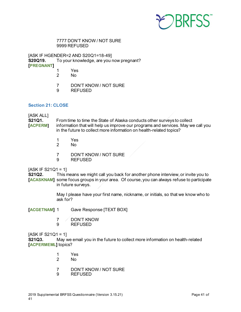

#### 7777 DON'T KNOW / NOT SURE 9999 REFUSED

[ASK IF HGENDER=2 AND S20Q1=18-49] **S20Q19.** To your knowledge, are you now pregnant? **[PREGNANT]**

- 1 Yes
	- N<sub>o</sub>
- 7 DON'T KNOW / NOT SURE
- 9 REFUSED

#### <span id="page-40-0"></span>**Section 21: CLOSE**

# [ASK ALL]<br>**S21Q1.**

From time to time the State of Alaska conducts other surveys to collect **[ACPERM]** information that will help us improve our programs and services. May we call you in the future to collect more information on health-related topics?

- 1 Yes
- No.
- 7 DON'T KNOW / NOT SURE
- 9 REFUSED

 $[ASK IF S21Q1 = 1]$ 

**S21Q2.** This means we might call you back for another phone interview, or invite you to **[ACASKNAM]** some focus groups in your area. Of course, you can always refuse to participate in future surveys.

> May I please have your first name, nickname, or initials, so that we know who to ask for?

- **[ACGETNAM]** 1 Gave Response [TEXT BOX]
	- 7 / DON'T KNOW<br>9 REFUSED
		- **REFUSED**

 $[ASK IF S21Q1 = 1]$ **S21Q3.** May we email you in the future to collect more information on health-related **[ACPERMEML]** topics?

- 1 Yes
- 2 No
- 7 DON'T KNOW / NOT SURE<br>9 REFUSED
- **REFUSED**